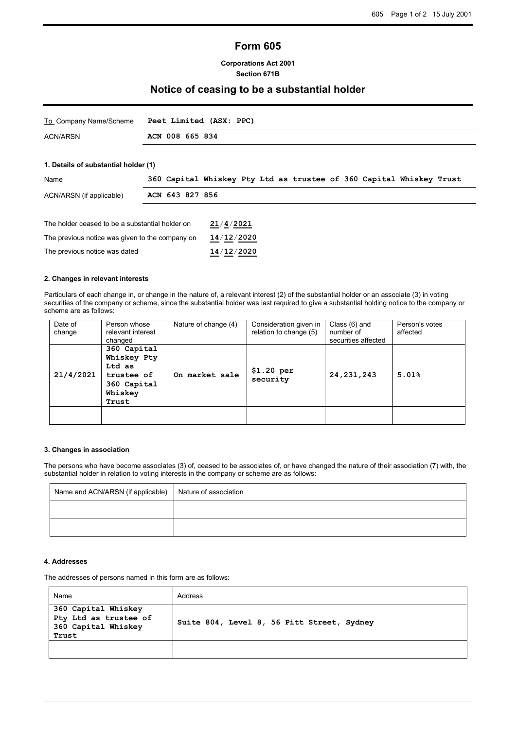# **Form 605**

### **Corporations Act 2001 Section 671B**

# **Notice of ceasing to be a substantial holder**

| To Company Name/Scheme | Peet Limited (ASX: PPC) |
|------------------------|-------------------------|
| <b>ACN/ARSN</b>        | ACN 008 665 834         |

# **1. Details of substantial holder (1)**

| Name                                                         |  |                 |            |  |  |  |  | 360 Capital Whiskey Pty Ltd as trustee of 360 Capital Whiskey Trust |  |
|--------------------------------------------------------------|--|-----------------|------------|--|--|--|--|---------------------------------------------------------------------|--|
| ACN/ARSN (if applicable)                                     |  | ACN 643 827 856 |            |  |  |  |  |                                                                     |  |
|                                                              |  |                 |            |  |  |  |  |                                                                     |  |
| 21/4/2021<br>The holder ceased to be a substantial holder on |  |                 |            |  |  |  |  |                                                                     |  |
| The previous notice was given to the company on              |  |                 | 14/12/2020 |  |  |  |  |                                                                     |  |
| The previous notice was dated                                |  | 14/12/2020      |            |  |  |  |  |                                                                     |  |

#### **2. Changes in relevant interests**

Particulars of each change in, or change in the nature of, a relevant interest (2) of the substantial holder or an associate (3) in voting securities of the company or scheme, since the substantial holder was last required to give a substantial holding notice to the company or scheme are as follows:

| Date of<br>change | Person whose<br>relevant interest<br>changed                                          | Nature of change (4) | Consideration given in<br>relation to change (5) | Class (6) and<br>number of<br>securities affected | Person's votes<br>affected |
|-------------------|---------------------------------------------------------------------------------------|----------------------|--------------------------------------------------|---------------------------------------------------|----------------------------|
| 21/4/2021         | 360 Capital<br>Whiskey Pty<br>Ltd as<br>trustee of<br>360 Capital<br>Whiskey<br>Trust | On market sale       | \$1.20 per<br>security                           | 24, 231, 243                                      | 5.01%                      |
|                   |                                                                                       |                      |                                                  |                                                   |                            |

# **3. Changes in association**

The persons who have become associates (3) of, ceased to be associates of, or have changed the nature of their association (7) with, the substantial holder in relation to voting interests in the company or scheme are as follows:

| Name and ACN/ARSN (if applicable) | Nature of association |
|-----------------------------------|-----------------------|
|                                   |                       |
|                                   |                       |

#### **4. Addresses**

The addresses of persons named in this form are as follows:

| Name                                                                         | Address                                    |
|------------------------------------------------------------------------------|--------------------------------------------|
| 360 Capital Whiskey<br>Pty Ltd as trustee of<br>360 Capital Whiskey<br>Trust | Suite 804, Level 8, 56 Pitt Street, Sydney |
|                                                                              |                                            |